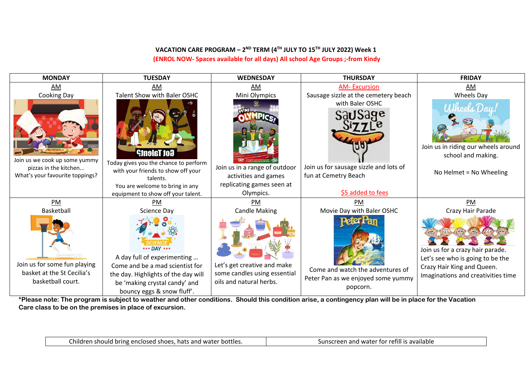## **VACATION CARE PROGRAM – 2ND TERM (4TH JULY TO 15TH JULY 2022) Week 1 (ENROL NOW- Spaces available for all days) All school Age Groups ;-from Kindy**

| <b>MONDAY</b>                                                                             | <b>TUESDAY</b>                                                                                                                                                                      | <b>WEDNESDAY</b>                                                                       | <b>THURSDAY</b>                                                                                      | <b>FRIDAY</b>                                                                                                                            |
|-------------------------------------------------------------------------------------------|-------------------------------------------------------------------------------------------------------------------------------------------------------------------------------------|----------------------------------------------------------------------------------------|------------------------------------------------------------------------------------------------------|------------------------------------------------------------------------------------------------------------------------------------------|
| AM                                                                                        | AM                                                                                                                                                                                  | AM                                                                                     | <b>AM-Excursion</b>                                                                                  | AM                                                                                                                                       |
| Cooking Day                                                                               | Talent Show with Baler OSHC                                                                                                                                                         | Mini Olympics                                                                          | Sausage sizzle at the cemetery beach                                                                 | Wheels Day                                                                                                                               |
| Join us we cook up some yummy<br>pizzas in the kitchen<br>What's your favourite toppings? | <b>Got Talent?</b><br>Today gives you the chance to perform<br>with your friends to show off your<br>talents.<br>You are welcome to bring in any                                    | Join us in a range of outdoor<br>activities and games<br>replicating games seen at     | with Baler OSHC<br>Join us for sausage sizzle and lots of<br>fun at Cemetry Beach                    | Abbech Day<br>Join us in riding our wheels around<br>school and making.<br>No Helmet = No Wheeling                                       |
|                                                                                           | equipment to show off your talent.                                                                                                                                                  | Olympics.                                                                              | \$5 added to fees                                                                                    |                                                                                                                                          |
| PM                                                                                        | PM                                                                                                                                                                                  | PM                                                                                     | PM                                                                                                   | <b>PM</b>                                                                                                                                |
| Basketball                                                                                | Science Day                                                                                                                                                                         | <b>Candle Making</b>                                                                   | Movie Day with Baler OSHC                                                                            | Crazy Hair Parade                                                                                                                        |
| Join us for some fun playing<br>basket at the St Cecilia's<br>basketball court.           | *** DAY ***<br>A day full of experimenting<br>Come and be a mad scientist for<br>the day. Highlights of the day will<br>be 'making crystal candy' and<br>bouncy eggs & snow fluff'. | Let's get creative and make<br>some candles using essential<br>oils and natural herbs. | <b>Dafor P</b><br>Come and watch the adventures of<br>Peter Pan as we enjoyed some yummy<br>popcorn. | Join us for a crazy hair parade.<br>Let's see who is going to be the<br>Crazy Hair King and Queen.<br>Imaginations and creativities time |

**\*Please note: The program is subject to weather and other conditions. Should this condition arise, a contingency plan will be in place for the Vacation Care class to be on the premises in place of excursion.**